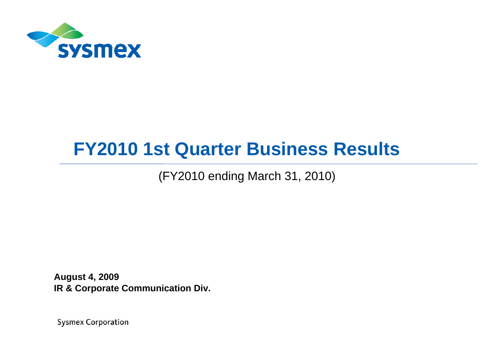

# **FY2010 1st Quarter Business Results**

(FY2010 ending March 31, 2010)

**August 4, 2009 IR & Corporate Communication Div.**

**Sysmex Corporation**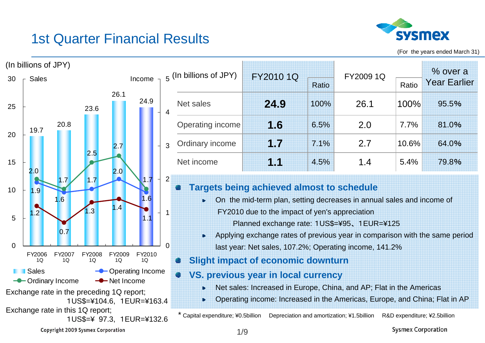#### 1st Quarter Financial Results



(For the years ended March 31)



**Sysmex Corporation**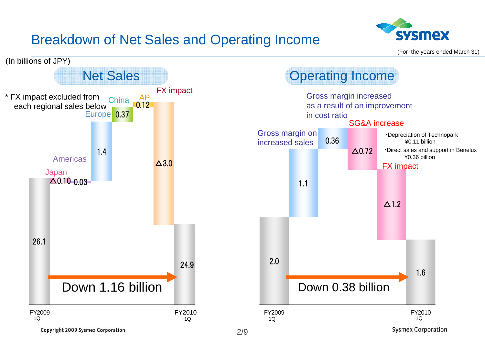## Breakdown of Net Sales and Operating Income



(For the years ended March 31)

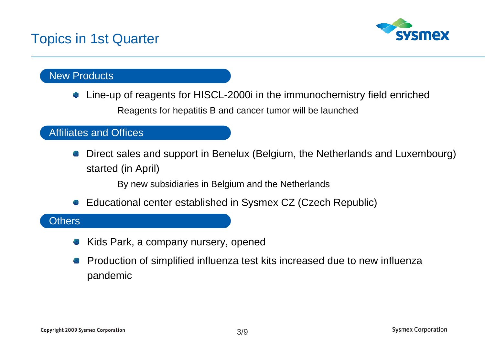#### Topics in 1st Quarter



#### New Products

Line-up of reagents for HISCL-2000i in the immunochemistry field enriched Reagents for hepatitis B and cancer tumor will be launched

#### Affiliates and Offices

Direct sales and support in Benelux (Belgium, the Netherlands and Luxembourg) started (in April)

By new subsidiaries in Belgium and the Netherlands

Educational center established in Sysmex CZ (Czech Republic) 43

#### **Others**

- Kids Park, a company nursery, opened
- Production of simplified influenza test kits increased due to new influenza pandemic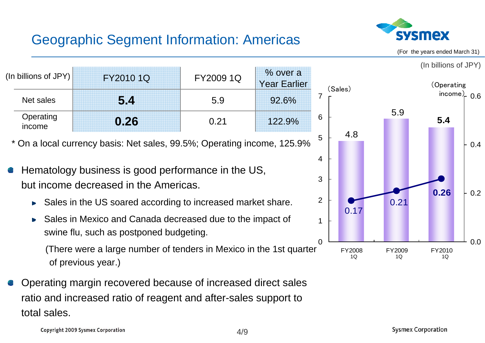#### Geographic Segment Information: Americas



(For the years ended March 31)

(In billions of JPY)

**5.4**

**0.26**

FY2010

0.0

0.2

0.4

0.6



4/9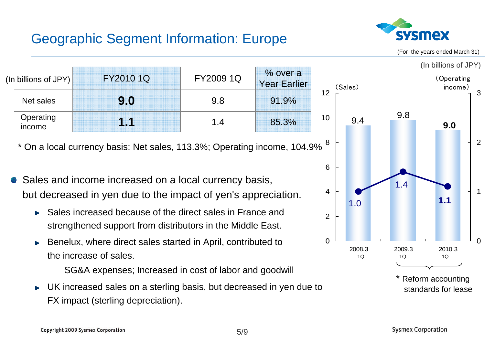## Geographic Segment Information: Europe



(For the years ended March 31)



UK increased sales on a sterling basis, but decreased in yen due to FX impact (sterling depreciation).

5/9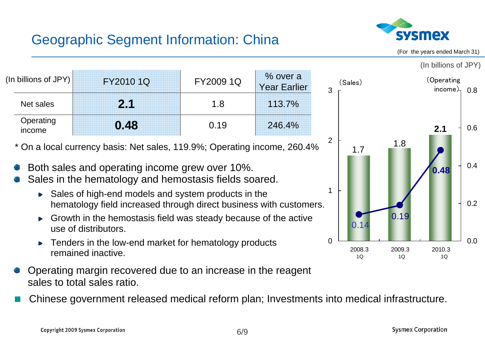## Geographic Segment Information: China



(For the years ended March 31)

(In billions of JPY)

| (In billions of JPY) $\parallel$ | FY2010 1Q | FY2009 1Q | % over a<br><b>Year Earlier</b> |
|----------------------------------|-----------|-----------|---------------------------------|
| Net sales                        | 2.1       | 1.8       | 113.7%                          |
| Operating<br>income              | 0.48      | 0.19      | 246.4%                          |

\* On a local currency basis: Net sales, 119.9%; Operating income, 260.4%

- Both sales and operating income grew over 10%.
- Sales in the hematology and hemostasis fields soared.
	- ► Sales of high-end models and system products in the hematology field increased through direct business with customers.
	- Growth in the hemostasis field was steady because of the active use of distributors.
	- Tenders in the low-end market for hematology products remained inactive.
- Operating margin recovered due to an increase in the reagent sales to total sales ratio.
- Chinese government released medical reform plan; Investments into medical infrastructure.

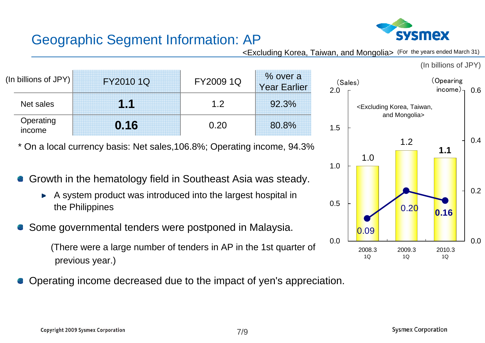

#### Geographic Segment Information: AP

<Excluding Korea, Taiwan, and Mongolia> (For the years ended March 31)

| (In billions of JPY) $\mid$ | FY2010 1Q | FY2009 1Q   | % over a<br><b>Year Earlier</b> |
|-----------------------------|-----------|-------------|---------------------------------|
| Net sales                   | 1.1       | 12          | 92.3%                           |
| Operating<br>income         | 0.16      | <u>በ 20</u> | 80.8%                           |

\* On a local currency basis: Net sales,106.8%; Operating income, 94.3%

- Growth in the hematology field in Southeast Asia was steady.
	- A system product was introduced into the largest hospital in  $\blacktriangleright$ the Philippines
- Some governmental tenders were postponed in Malaysia.

(There were a large number of tenders in AP in the 1st quarter of previous year.)

Operating income decreased due to the impact of yen's appreciation.

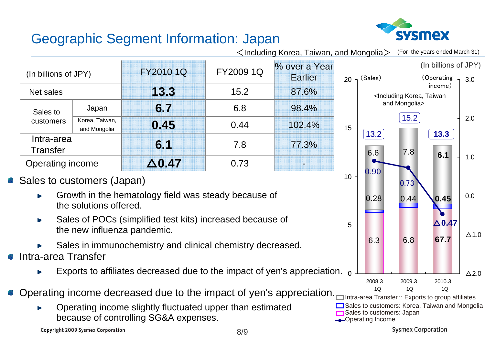# sysmex

(For the years ended March 31)

## Geographic Segment Information: Japan

**0.45**Korea, Taiwan,  $\overline{0.45}$   $0.44$   $102.4\%$ Sales to customers% over a Year EarlierIntra-area **Transfer** Japan 0.737.86.815.2FY2009 1Q **6.1** 77.3% Net sales **13.3** 87.6% **6.7** 98.4% Operating income **△0.47** (In billions of JPY) FY2010 1Q  $\leq$ Including Korea, Taiwan, and Mongolia $>$ 

#### Sales to customers (Japan)

- Growth in the hematology field was steady because of the solutions offered.
- Sales of POCs (simplified test kits) increased because of  $\blacktriangleright$ the new influenza pandemic.
- Sales in immunochemistry and clinical chemistry decreased.
- Intra-area Transfer
	- Exports to affiliates decreased due to the impact of yen's appreciation.  $_{\rm 0}$
- Operating income decreased due to the impact of yen's appreciation.
	- Operating income slightly fluctuated upper than estimated because of controlling SG&A expenses.



**Copyright 2009 Sysmex Corporation** 



**Sysmex Corporation**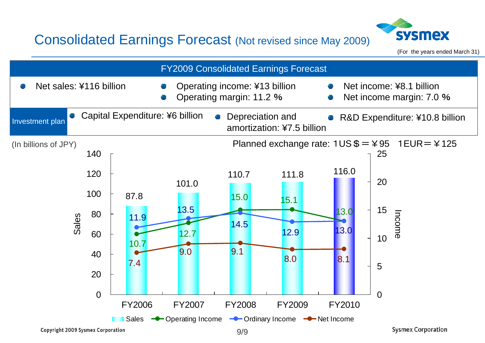#### Consolidated Earnings Forecast (Not revised since May 2009)



(For the years ended March 31)